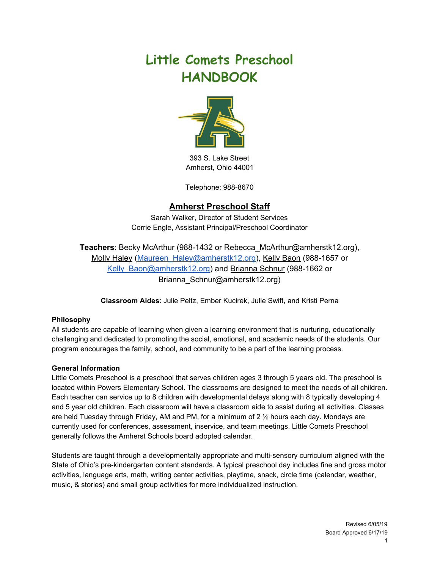# **Little Comets Preschool HANDBOOK**



393 S. Lake Street Amherst, Ohio 44001

Telephone: 988-8670

# **Amherst Preschool Staff**

Sarah Walker, Director of Student Services Corrie Engle, Assistant Principal/Preschool Coordinator

**Teachers**: Becky McArthur (988-1432 or Rebecca\_McArthur@amherstk12.org), Molly Haley (Maureen Haley@amherstk12.org), Kelly Baon (988-1657 or [Kelly\\_Baon@amherstk12.org](mailto:Kelly_Baon@amherstk12.org)) and Brianna Schnur (988-1662 or Brianna\_Schnur@amherstk12.org)

**Classroom Aides**: Julie Peltz, Ember Kucirek, Julie Swift, and Kristi Perna

# **Philosophy**

All students are capable of learning when given a learning environment that is nurturing, educationally challenging and dedicated to promoting the social, emotional, and academic needs of the students. Our program encourages the family, school, and community to be a part of the learning process.

## **General Information**

Little Comets Preschool is a preschool that serves children ages 3 through 5 years old. The preschool is located within Powers Elementary School. The classrooms are designed to meet the needs of all children. Each teacher can service up to 8 children with developmental delays along with 8 typically developing 4 and 5 year old children. Each classroom will have a classroom aide to assist during all activities. Classes are held Tuesday through Friday, AM and PM, for a minimum of 2 ½ hours each day. Mondays are currently used for conferences, assessment, inservice, and team meetings. Little Comets Preschool generally follows the Amherst Schools board adopted calendar.

Students are taught through a developmentally appropriate and multi-sensory curriculum aligned with the State of Ohio's pre-kindergarten content standards. A typical preschool day includes fine and gross motor activities, language arts, math, writing center activities, playtime, snack, circle time (calendar, weather, music, & stories) and small group activities for more individualized instruction.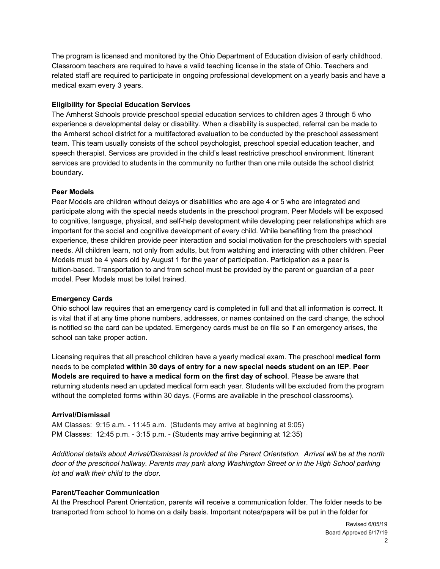The program is licensed and monitored by the Ohio Department of Education division of early childhood. Classroom teachers are required to have a valid teaching license in the state of Ohio. Teachers and related staff are required to participate in ongoing professional development on a yearly basis and have a medical exam every 3 years.

## **Eligibility for Special Education Services**

The Amherst Schools provide preschool special education services to children ages 3 through 5 who experience a developmental delay or disability. When a disability is suspected, referral can be made to the Amherst school district for a multifactored evaluation to be conducted by the preschool assessment team. This team usually consists of the school psychologist, preschool special education teacher, and speech therapist. Services are provided in the child's least restrictive preschool environment. Itinerant services are provided to students in the community no further than one mile outside the school district boundary.

#### **Peer Models**

Peer Models are children without delays or disabilities who are age 4 or 5 who are integrated and participate along with the special needs students in the preschool program. Peer Models will be exposed to cognitive, language, physical, and self-help development while developing peer relationships which are important for the social and cognitive development of every child. While benefiting from the preschool experience, these children provide peer interaction and social motivation for the preschoolers with special needs. All children learn, not only from adults, but from watching and interacting with other children. Peer Models must be 4 years old by August 1 for the year of participation. Participation as a peer is tuition-based. Transportation to and from school must be provided by the parent or guardian of a peer model. Peer Models must be toilet trained.

#### **Emergency Cards**

Ohio school law requires that an emergency card is completed in full and that all information is correct. It is vital that if at any time phone numbers, addresses, or names contained on the card change, the school is notified so the card can be updated. Emergency cards must be on file so if an emergency arises, the school can take proper action.

Licensing requires that all preschool children have a yearly medical exam. The preschool **medical form** needs to be completed **within 30 days of entry for a new special needs student on an IEP**. **Peer Models are required to have a medical form on the first day of school**. Please be aware that returning students need an updated medical form each year. Students will be excluded from the program without the completed forms within 30 days. (Forms are available in the preschool classrooms).

#### **Arrival/Dismissal**

AM Classes: 9:15 a.m. - 11:45 a.m. (Students may arrive at beginning at 9:05) PM Classes: 12:45 p.m. - 3:15 p.m. - (Students may arrive beginning at 12:35)

*Additional details about Arrival/Dismissal is provided at the Parent Orientation. Arrival will be at the north door of the preschool hallway. Parents may park along Washington Street or in the High School parking lot and walk their child to the door.*

#### **Parent/Teacher Communication**

At the Preschool Parent Orientation, parents will receive a communication folder. The folder needs to be transported from school to home on a daily basis. Important notes/papers will be put in the folder for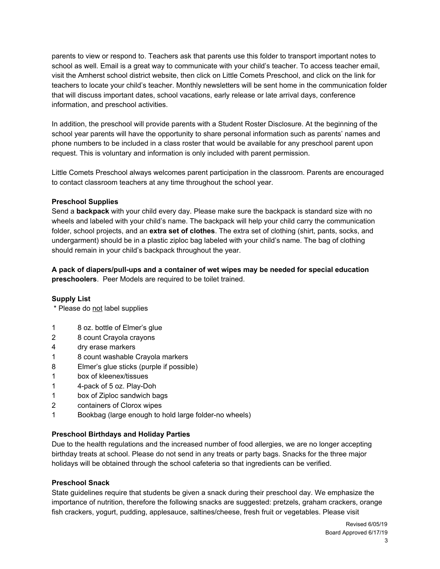parents to view or respond to. Teachers ask that parents use this folder to transport important notes to school as well. Email is a great way to communicate with your child's teacher. To access teacher email, visit the Amherst school district website, then click on Little Comets Preschool, and click on the link for teachers to locate your child's teacher. Monthly newsletters will be sent home in the communication folder that will discuss important dates, school vacations, early release or late arrival days, conference information, and preschool activities.

In addition, the preschool will provide parents with a Student Roster Disclosure. At the beginning of the school year parents will have the opportunity to share personal information such as parents' names and phone numbers to be included in a class roster that would be available for any preschool parent upon request. This is voluntary and information is only included with parent permission.

Little Comets Preschool always welcomes parent participation in the classroom. Parents are encouraged to contact classroom teachers at any time throughout the school year.

## **Preschool Supplies**

Send a **backpack** with your child every day. Please make sure the backpack is standard size with no wheels and labeled with your child's name. The backpack will help your child carry the communication folder, school projects, and an **extra set of clothes**. The extra set of clothing (shirt, pants, socks, and undergarment) should be in a plastic ziploc bag labeled with your child's name. The bag of clothing should remain in your child's backpack throughout the year.

**A pack of diapers/pull-ups and a container of wet wipes may be needed for special education preschoolers**. Peer Models are required to be toilet trained.

## **Supply List**

\* Please do not label supplies

- 1 8 oz. bottle of Elmer's glue
- 2 8 count Crayola crayons
- 4 dry erase markers
- 1 8 count washable Crayola markers
- 8 Elmer's glue sticks (purple if possible)
- 1 box of kleenex/tissues
- 1 4-pack of 5 oz. Play-Doh
- 1 box of Ziploc sandwich bags
- 2 containers of Clorox wipes
- 1 Bookbag (large enough to hold large folder-no wheels)

## **Preschool Birthdays and Holiday Parties**

Due to the health regulations and the increased number of food allergies, we are no longer accepting birthday treats at school. Please do not send in any treats or party bags. Snacks for the three major holidays will be obtained through the school cafeteria so that ingredients can be verified.

## **Preschool Snack**

State guidelines require that students be given a snack during their preschool day. We emphasize the importance of nutrition, therefore the following snacks are suggested: pretzels, graham crackers, orange fish crackers, yogurt, pudding, applesauce, saltines/cheese, fresh fruit or vegetables. Please visit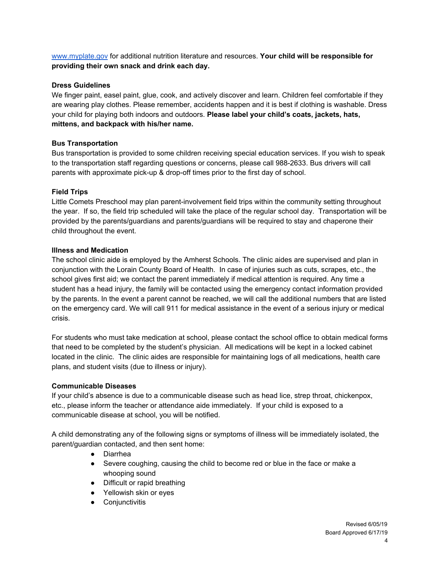[www.myplate.gov](http://www.myplate.gov/) for additional nutrition literature and resources. **Your child will be responsible for providing their own snack and drink each day.**

## **Dress Guidelines**

We finger paint, easel paint, glue, cook, and actively discover and learn. Children feel comfortable if they are wearing play clothes. Please remember, accidents happen and it is best if clothing is washable. Dress your child for playing both indoors and outdoors. **Please label your child's coats, jackets, hats, mittens, and backpack with his/her name.**

## **Bus Transportation**

Bus transportation is provided to some children receiving special education services. If you wish to speak to the transportation staff regarding questions or concerns, please call 988-2633. Bus drivers will call parents with approximate pick-up & drop-off times prior to the first day of school.

## **Field Trips**

Little Comets Preschool may plan parent-involvement field trips within the community setting throughout the year. If so, the field trip scheduled will take the place of the regular school day. Transportation will be provided by the parents/guardians and parents/guardians will be required to stay and chaperone their child throughout the event.

## **Illness and Medication**

The school clinic aide is employed by the Amherst Schools. The clinic aides are supervised and plan in conjunction with the Lorain County Board of Health. In case of injuries such as cuts, scrapes, etc., the school gives first aid; we contact the parent immediately if medical attention is required. Any time a student has a head injury, the family will be contacted using the emergency contact information provided by the parents. In the event a parent cannot be reached, we will call the additional numbers that are listed on the emergency card. We will call 911 for medical assistance in the event of a serious injury or medical crisis.

For students who must take medication at school, please contact the school office to obtain medical forms that need to be completed by the student's physician. All medications will be kept in a locked cabinet located in the clinic. The clinic aides are responsible for maintaining logs of all medications, health care plans, and student visits (due to illness or injury).

# **Communicable Diseases**

If your child's absence is due to a communicable disease such as head lice, strep throat, chickenpox, etc., please inform the teacher or attendance aide immediately. If your child is exposed to a communicable disease at school, you will be notified.

A child demonstrating any of the following signs or symptoms of illness will be immediately isolated, the parent/guardian contacted, and then sent home:

- Diarrhea
- Severe coughing, causing the child to become red or blue in the face or make a whooping sound
- Difficult or rapid breathing
- Yellowish skin or eyes
- Conjunctivitis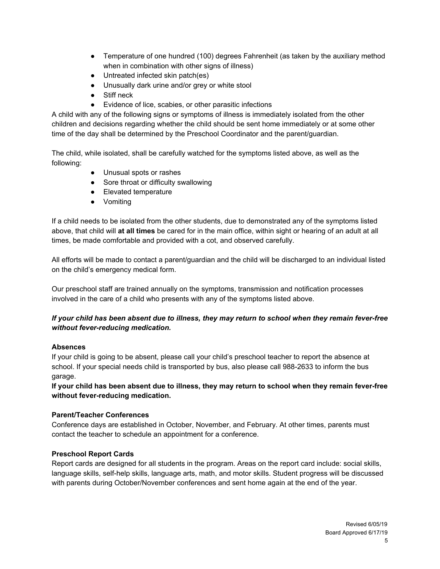- Temperature of one hundred (100) degrees Fahrenheit (as taken by the auxiliary method when in combination with other signs of illness)
- Untreated infected skin patch(es)
- Unusually dark urine and/or grey or white stool
- Stiff neck
- Evidence of lice, scabies, or other parasitic infections

A child with any of the following signs or symptoms of illness is immediately isolated from the other children and decisions regarding whether the child should be sent home immediately or at some other time of the day shall be determined by the Preschool Coordinator and the parent/guardian.

The child, while isolated, shall be carefully watched for the symptoms listed above, as well as the following:

- Unusual spots or rashes
- Sore throat or difficulty swallowing
- Elevated temperature
- Vomiting

If a child needs to be isolated from the other students, due to demonstrated any of the symptoms listed above, that child will **at all times** be cared for in the main office, within sight or hearing of an adult at all times, be made comfortable and provided with a cot, and observed carefully.

All efforts will be made to contact a parent/guardian and the child will be discharged to an individual listed on the child's emergency medical form.

Our preschool staff are trained annually on the symptoms, transmission and notification processes involved in the care of a child who presents with any of the symptoms listed above.

# If your child has been absent due to illness, they may return to school when they remain fever-free *without fever-reducing medication.*

# **Absences**

If your child is going to be absent, please call your child's preschool teacher to report the absence at school. If your special needs child is transported by bus, also please call 988-2633 to inform the bus garage.

If your child has been absent due to illness, they may return to school when they remain fever-free **without fever-reducing medication.**

# **Parent/Teacher Conferences**

Conference days are established in October, November, and February. At other times, parents must contact the teacher to schedule an appointment for a conference.

# **Preschool Report Cards**

Report cards are designed for all students in the program. Areas on the report card include: social skills, language skills, self-help skills, language arts, math, and motor skills. Student progress will be discussed with parents during October/November conferences and sent home again at the end of the year.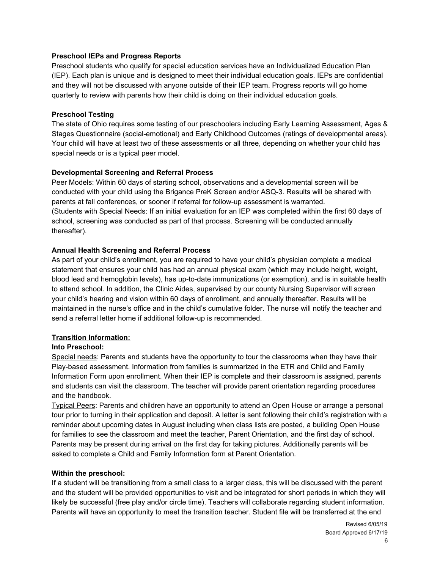## **Preschool IEPs and Progress Reports**

Preschool students who qualify for special education services have an Individualized Education Plan (IEP). Each plan is unique and is designed to meet their individual education goals. IEPs are confidential and they will not be discussed with anyone outside of their IEP team. Progress reports will go home quarterly to review with parents how their child is doing on their individual education goals.

#### **Preschool Testing**

The state of Ohio requires some testing of our preschoolers including Early Learning Assessment, Ages & Stages Questionnaire (social-emotional) and Early Childhood Outcomes (ratings of developmental areas). Your child will have at least two of these assessments or all three, depending on whether your child has special needs or is a typical peer model.

## **Developmental Screening and Referral Process**

Peer Models: Within 60 days of starting school, observations and a developmental screen will be conducted with your child using the Brigance PreK Screen and/or ASQ-3. Results will be shared with parents at fall conferences, or sooner if referral for follow-up assessment is warranted. (Students with Special Needs: If an initial evaluation for an IEP was completed within the first 60 days of school, screening was conducted as part of that process. Screening will be conducted annually thereafter).

#### **Annual Health Screening and Referral Process**

As part of your child's enrollment, you are required to have your child's physician complete a medical statement that ensures your child has had an annual physical exam (which may include height, weight, blood lead and hemoglobin levels), has up-to-date immunizations (or exemption), and is in suitable health to attend school. In addition, the Clinic Aides, supervised by our county Nursing Supervisor will screen your child's hearing and vision within 60 days of enrollment, and annually thereafter. Results will be maintained in the nurse's office and in the child's cumulative folder. The nurse will notify the teacher and send a referral letter home if additional follow-up is recommended.

## **Transition Information:**

## **Into Preschool:**

Special needs: Parents and students have the opportunity to tour the classrooms when they have their Play-based assessment. Information from families is summarized in the ETR and Child and Family Information Form upon enrollment. When their IEP is complete and their classroom is assigned, parents and students can visit the classroom. The teacher will provide parent orientation regarding procedures and the handbook.

Typical Peers: Parents and children have an opportunity to attend an Open House or arrange a personal tour prior to turning in their application and deposit. A letter is sent following their child's registration with a reminder about upcoming dates in August including when class lists are posted, a building Open House for families to see the classroom and meet the teacher, Parent Orientation, and the first day of school. Parents may be present during arrival on the first day for taking pictures. Additionally parents will be asked to complete a Child and Family Information form at Parent Orientation.

#### **Within the preschool:**

If a student will be transitioning from a small class to a larger class, this will be discussed with the parent and the student will be provided opportunities to visit and be integrated for short periods in which they will likely be successful (free play and/or circle time). Teachers will collaborate regarding student information. Parents will have an opportunity to meet the transition teacher. Student file will be transferred at the end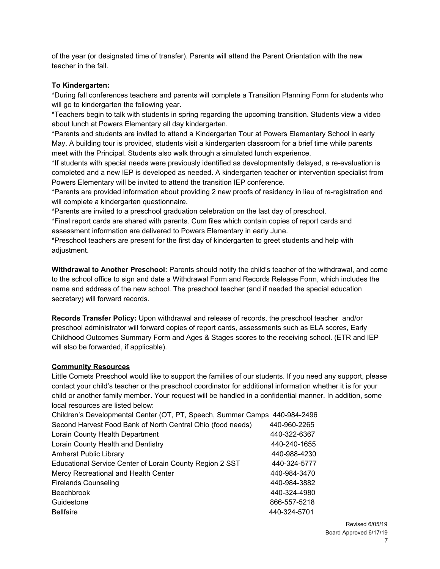of the year (or designated time of transfer). Parents will attend the Parent Orientation with the new teacher in the fall.

## **To Kindergarten:**

\*During fall conferences teachers and parents will complete a Transition Planning Form for students who will go to kindergarten the following year.

\*Teachers begin to talk with students in spring regarding the upcoming transition. Students view a video about lunch at Powers Elementary all day kindergarten.

\*Parents and students are invited to attend a Kindergarten Tour at Powers Elementary School in early May. A building tour is provided, students visit a kindergarten classroom for a brief time while parents meet with the Principal. Students also walk through a simulated lunch experience.

\*If students with special needs were previously identified as developmentally delayed, a re-evaluation is completed and a new IEP is developed as needed. A kindergarten teacher or intervention specialist from Powers Elementary will be invited to attend the transition IEP conference.

\*Parents are provided information about providing 2 new proofs of residency in lieu of re-registration and will complete a kindergarten questionnaire.

\*Parents are invited to a preschool graduation celebration on the last day of preschool.

\*Final report cards are shared with parents. Cum files which contain copies of report cards and assessment information are delivered to Powers Elementary in early June.

\*Preschool teachers are present for the first day of kindergarten to greet students and help with adiustment.

**Withdrawal to Another Preschool:** Parents should notify the child's teacher of the withdrawal, and come to the school office to sign and date a Withdrawal Form and Records Release Form, which includes the name and address of the new school. The preschool teacher (and if needed the special education secretary) will forward records.

**Records Transfer Policy:** Upon withdrawal and release of records, the preschool teacher and/or preschool administrator will forward copies of report cards, assessments such as ELA scores, Early Childhood Outcomes Summary Form and Ages & Stages scores to the receiving school. (ETR and IEP will also be forwarded, if applicable).

# **Community Resources**

Little Comets Preschool would like to support the families of our students. If you need any support, please contact your child's teacher or the preschool coordinator for additional information whether it is for your child or another family member. Your request will be handled in a confidential manner. In addition, some local resources are listed below:

| Children's Developmental Center (OT, PT, Speech, Summer Camps 440-984-2496 |              |
|----------------------------------------------------------------------------|--------------|
| Second Harvest Food Bank of North Central Ohio (food needs)                | 440-960-2265 |
| Lorain County Health Department                                            | 440-322-6367 |
| Lorain County Health and Dentistry                                         | 440-240-1655 |
| <b>Amherst Public Library</b>                                              | 440-988-4230 |
| Educational Service Center of Lorain County Region 2 SST                   | 440-324-5777 |
| Mercy Recreational and Health Center                                       | 440-984-3470 |
| <b>Firelands Counseling</b>                                                | 440-984-3882 |
| <b>Beechbrook</b>                                                          | 440-324-4980 |
| Guidestone                                                                 | 866-557-5218 |
| <b>Bellfaire</b>                                                           | 440-324-5701 |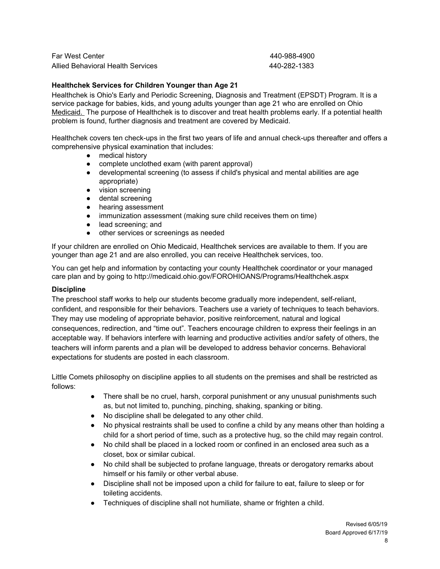Far West Center 440-988-4900 Allied Behavioral Health Services 440-282-1383

#### **Healthchek Services for Children Younger than Age 21**

Healthchek is Ohio's Early and Periodic Screening, Diagnosis and Treatment (EPSDT) Program. It is a service package for babies, kids, and young adults younger than age 21 who are enrolled on Ohio Medicaid. The purpose of Healthchek is to discover and treat health problems early. If a potential health problem is found, further diagnosis and treatment are covered by Medicaid.

Healthchek covers ten check-ups in the first two years of life and annual check-ups thereafter and offers a comprehensive physical examination that includes:

- medical history
- complete unclothed exam (with parent approval)
- developmental screening (to assess if child's physical and mental abilities are age appropriate)
- vision screening
- dental screening
- hearing assessment
- immunization assessment (making sure child receives them on time)
- lead [screening](http://medicaid.ohio.gov/FOROHIOANS/Programs/Lead.aspx); and
- other services or screenings as needed

If your children are enrolled on Ohio Medicaid, Healthchek services are available to them. If you are younger than age 21 and are also enrolled, you can receive Healthchek services, too.

You can get help and information by contacting your county Healthchek coordinator or your managed care plan and by going to <http://medicaid.ohio.gov/FOROHIOANS/Programs/Healthchek.aspx>

#### **Discipline**

The preschool staff works to help our students become gradually more independent, self-reliant, confident, and responsible for their behaviors. Teachers use a variety of techniques to teach behaviors. They may use modeling of appropriate behavior, positive reinforcement, natural and logical consequences, redirection, and "time out". Teachers encourage children to express their feelings in an acceptable way. If behaviors interfere with learning and productive activities and/or safety of others, the teachers will inform parents and a plan will be developed to address behavior concerns. Behavioral expectations for students are posted in each classroom.

Little Comets philosophy on discipline applies to all students on the premises and shall be restricted as follows:

- There shall be no cruel, harsh, corporal punishment or any unusual punishments such as, but not limited to, punching, pinching, shaking, spanking or biting.
- No discipline shall be delegated to any other child.
- No physical restraints shall be used to confine a child by any means other than holding a child for a short period of time, such as a protective hug, so the child may regain control.
- No child shall be placed in a locked room or confined in an enclosed area such as a closet, box or similar cubical.
- No child shall be subjected to profane language, threats or derogatory remarks about himself or his family or other verbal abuse.
- Discipline shall not be imposed upon a child for failure to eat, failure to sleep or for toileting accidents.
- Techniques of discipline shall not humiliate, shame or frighten a child.